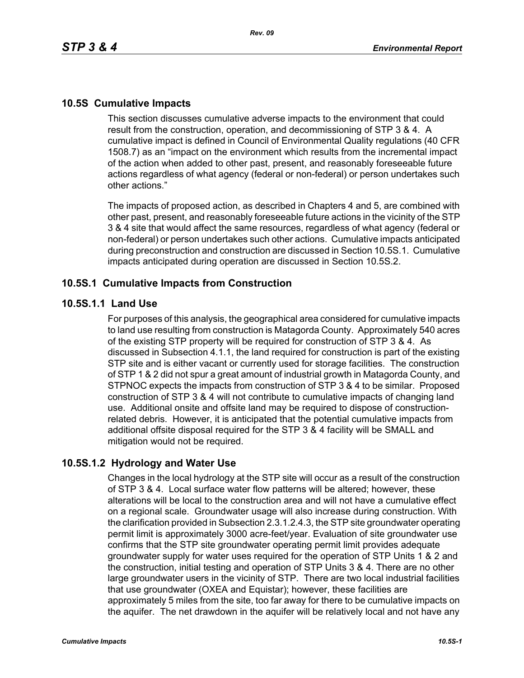## **10.5S Cumulative Impacts**

This section discusses cumulative adverse impacts to the environment that could result from the construction, operation, and decommissioning of STP 3 & 4. A cumulative impact is defined in Council of Environmental Quality regulations (40 CFR 1508.7) as an "impact on the environment which results from the incremental impact of the action when added to other past, present, and reasonably foreseeable future actions regardless of what agency (federal or non-federal) or person undertakes such other actions."

The impacts of proposed action, as described in Chapters 4 and 5, are combined with other past, present, and reasonably foreseeable future actions in the vicinity of the STP 3 & 4 site that would affect the same resources, regardless of what agency (federal or non-federal) or person undertakes such other actions. Cumulative impacts anticipated during preconstruction and construction are discussed in Section 10.5S.1. Cumulative impacts anticipated during operation are discussed in Section 10.5S.2.

### **10.5S.1 Cumulative Impacts from Construction**

### **10.5S.1.1 Land Use**

For purposes of this analysis, the geographical area considered for cumulative impacts to land use resulting from construction is Matagorda County. Approximately 540 acres of the existing STP property will be required for construction of STP 3 & 4. As discussed in Subsection 4.1.1, the land required for construction is part of the existing STP site and is either vacant or currently used for storage facilities. The construction of STP 1 & 2 did not spur a great amount of industrial growth in Matagorda County, and STPNOC expects the impacts from construction of STP 3 & 4 to be similar. Proposed construction of STP 3 & 4 will not contribute to cumulative impacts of changing land use. Additional onsite and offsite land may be required to dispose of constructionrelated debris. However, it is anticipated that the potential cumulative impacts from additional offsite disposal required for the STP 3 & 4 facility will be SMALL and mitigation would not be required.

## **10.5S.1.2 Hydrology and Water Use**

Changes in the local hydrology at the STP site will occur as a result of the construction of STP 3 & 4. Local surface water flow patterns will be altered; however, these alterations will be local to the construction area and will not have a cumulative effect on a regional scale. Groundwater usage will also increase during construction. With the clarification provided in Subsection 2.3.1.2.4.3, the STP site groundwater operating permit limit is approximately 3000 acre-feet/year. Evaluation of site groundwater use confirms that the STP site groundwater operating permit limit provides adequate groundwater supply for water uses required for the operation of STP Units 1 & 2 and the construction, initial testing and operation of STP Units 3 & 4. There are no other large groundwater users in the vicinity of STP. There are two local industrial facilities that use groundwater (OXEA and Equistar); however, these facilities are approximately 5 miles from the site, too far away for there to be cumulative impacts on the aquifer. The net drawdown in the aquifer will be relatively local and not have any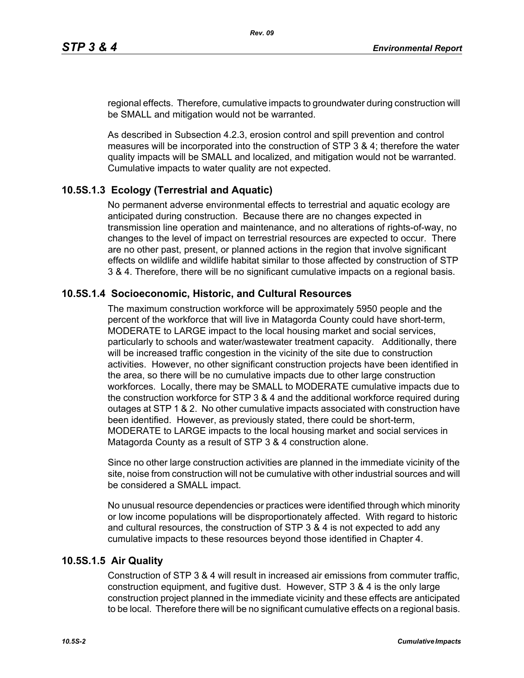regional effects. Therefore, cumulative impacts to groundwater during construction will be SMALL and mitigation would not be warranted.

As described in Subsection 4.2.3, erosion control and spill prevention and control measures will be incorporated into the construction of STP 3 & 4; therefore the water quality impacts will be SMALL and localized, and mitigation would not be warranted. Cumulative impacts to water quality are not expected.

# **10.5S.1.3 Ecology (Terrestrial and Aquatic)**

No permanent adverse environmental effects to terrestrial and aquatic ecology are anticipated during construction. Because there are no changes expected in transmission line operation and maintenance, and no alterations of rights-of-way, no changes to the level of impact on terrestrial resources are expected to occur. There are no other past, present, or planned actions in the region that involve significant effects on wildlife and wildlife habitat similar to those affected by construction of STP 3 & 4. Therefore, there will be no significant cumulative impacts on a regional basis.

## **10.5S.1.4 Socioeconomic, Historic, and Cultural Resources**

The maximum construction workforce will be approximately 5950 people and the percent of the workforce that will live in Matagorda County could have short-term, MODERATE to LARGE impact to the local housing market and social services, particularly to schools and water/wastewater treatment capacity. Additionally, there will be increased traffic congestion in the vicinity of the site due to construction activities. However, no other significant construction projects have been identified in the area, so there will be no cumulative impacts due to other large construction workforces. Locally, there may be SMALL to MODERATE cumulative impacts due to the construction workforce for STP 3 & 4 and the additional workforce required during outages at STP 1 & 2. No other cumulative impacts associated with construction have been identified. However, as previously stated, there could be short-term, MODERATE to LARGE impacts to the local housing market and social services in Matagorda County as a result of STP 3 & 4 construction alone.

Since no other large construction activities are planned in the immediate vicinity of the site, noise from construction will not be cumulative with other industrial sources and will be considered a SMALL impact.

No unusual resource dependencies or practices were identified through which minority or low income populations will be disproportionately affected. With regard to historic and cultural resources, the construction of STP 3 & 4 is not expected to add any cumulative impacts to these resources beyond those identified in Chapter 4.

## **10.5S.1.5 Air Quality**

Construction of STP 3 & 4 will result in increased air emissions from commuter traffic, construction equipment, and fugitive dust. However, STP 3 & 4 is the only large construction project planned in the immediate vicinity and these effects are anticipated to be local. Therefore there will be no significant cumulative effects on a regional basis.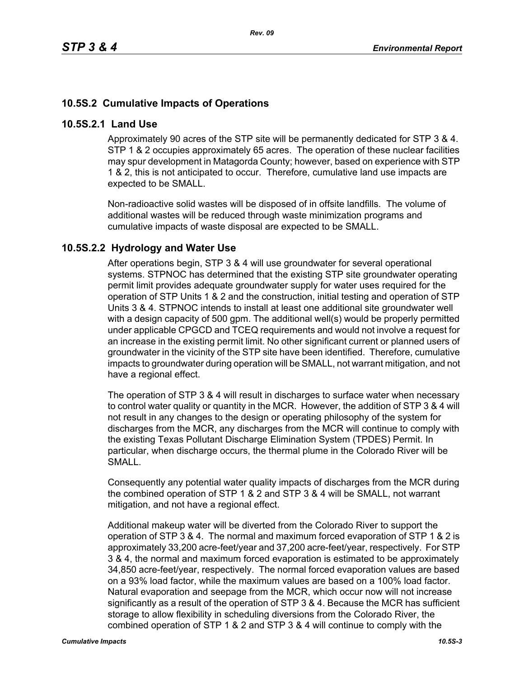# **10.5S.2 Cumulative Impacts of Operations**

### **10.5S.2.1 Land Use**

Approximately 90 acres of the STP site will be permanently dedicated for STP 3 & 4. STP 1 & 2 occupies approximately 65 acres. The operation of these nuclear facilities may spur development in Matagorda County; however, based on experience with STP 1 & 2, this is not anticipated to occur. Therefore, cumulative land use impacts are expected to be SMALL.

Non-radioactive solid wastes will be disposed of in offsite landfills. The volume of additional wastes will be reduced through waste minimization programs and cumulative impacts of waste disposal are expected to be SMALL.

## **10.5S.2.2 Hydrology and Water Use**

After operations begin, STP 3 & 4 will use groundwater for several operational systems. STPNOC has determined that the existing STP site groundwater operating permit limit provides adequate groundwater supply for water uses required for the operation of STP Units 1 & 2 and the construction, initial testing and operation of STP Units 3 & 4. STPNOC intends to install at least one additional site groundwater well with a design capacity of 500 gpm. The additional well(s) would be properly permitted under applicable CPGCD and TCEQ requirements and would not involve a request for an increase in the existing permit limit. No other significant current or planned users of groundwater in the vicinity of the STP site have been identified. Therefore, cumulative impacts to groundwater during operation will be SMALL, not warrant mitigation, and not have a regional effect.

The operation of STP 3 & 4 will result in discharges to surface water when necessary to control water quality or quantity in the MCR. However, the addition of STP 3 & 4 will not result in any changes to the design or operating philosophy of the system for discharges from the MCR, any discharges from the MCR will continue to comply with the existing Texas Pollutant Discharge Elimination System (TPDES) Permit. In particular, when discharge occurs, the thermal plume in the Colorado River will be SMALL.

Consequently any potential water quality impacts of discharges from the MCR during the combined operation of STP 1 & 2 and STP 3 & 4 will be SMALL, not warrant mitigation, and not have a regional effect.

Additional makeup water will be diverted from the Colorado River to support the operation of STP 3 & 4. The normal and maximum forced evaporation of STP 1 & 2 is approximately 33,200 acre-feet/year and 37,200 acre-feet/year, respectively. For STP 3 & 4, the normal and maximum forced evaporation is estimated to be approximately 34,850 acre-feet/year, respectively. The normal forced evaporation values are based on a 93% load factor, while the maximum values are based on a 100% load factor. Natural evaporation and seepage from the MCR, which occur now will not increase significantly as a result of the operation of STP 3 & 4. Because the MCR has sufficient storage to allow flexibility in scheduling diversions from the Colorado River, the combined operation of STP 1 & 2 and STP 3 & 4 will continue to comply with the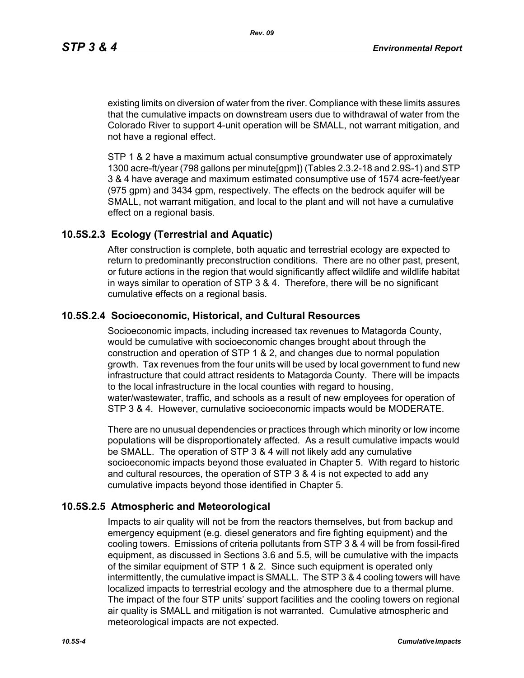existing limits on diversion of water from the river. Compliance with these limits assures that the cumulative impacts on downstream users due to withdrawal of water from the Colorado River to support 4-unit operation will be SMALL, not warrant mitigation, and not have a regional effect.

STP 1 & 2 have a maximum actual consumptive groundwater use of approximately 1300 acre-ft/year (798 gallons per minute[gpm]) (Tables 2.3.2-18 and 2.9S-1) and STP 3 & 4 have average and maximum estimated consumptive use of 1574 acre-feet/year (975 gpm) and 3434 gpm, respectively. The effects on the bedrock aquifer will be SMALL, not warrant mitigation, and local to the plant and will not have a cumulative effect on a regional basis.

### **10.5S.2.3 Ecology (Terrestrial and Aquatic)**

After construction is complete, both aquatic and terrestrial ecology are expected to return to predominantly preconstruction conditions. There are no other past, present, or future actions in the region that would significantly affect wildlife and wildlife habitat in ways similar to operation of STP 3 & 4. Therefore, there will be no significant cumulative effects on a regional basis.

## **10.5S.2.4 Socioeconomic, Historical, and Cultural Resources**

Socioeconomic impacts, including increased tax revenues to Matagorda County, would be cumulative with socioeconomic changes brought about through the construction and operation of STP 1 & 2, and changes due to normal population growth. Tax revenues from the four units will be used by local government to fund new infrastructure that could attract residents to Matagorda County. There will be impacts to the local infrastructure in the local counties with regard to housing, water/wastewater, traffic, and schools as a result of new employees for operation of STP 3 & 4. However, cumulative socioeconomic impacts would be MODERATE.

There are no unusual dependencies or practices through which minority or low income populations will be disproportionately affected. As a result cumulative impacts would be SMALL. The operation of STP 3 & 4 will not likely add any cumulative socioeconomic impacts beyond those evaluated in Chapter 5. With regard to historic and cultural resources, the operation of STP 3 & 4 is not expected to add any cumulative impacts beyond those identified in Chapter 5.

#### **10.5S.2.5 Atmospheric and Meteorological**

Impacts to air quality will not be from the reactors themselves, but from backup and emergency equipment (e.g. diesel generators and fire fighting equipment) and the cooling towers. Emissions of criteria pollutants from STP 3 & 4 will be from fossil-fired equipment, as discussed in Sections 3.6 and 5.5, will be cumulative with the impacts of the similar equipment of STP 1 & 2. Since such equipment is operated only intermittently, the cumulative impact is SMALL. The STP 3 & 4 cooling towers will have localized impacts to terrestrial ecology and the atmosphere due to a thermal plume. The impact of the four STP units' support facilities and the cooling towers on regional air quality is SMALL and mitigation is not warranted. Cumulative atmospheric and meteorological impacts are not expected.